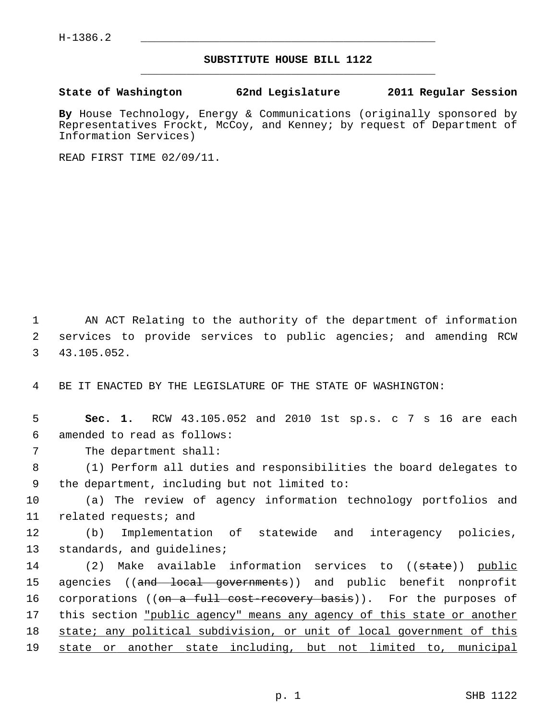## **SUBSTITUTE HOUSE BILL 1122** \_\_\_\_\_\_\_\_\_\_\_\_\_\_\_\_\_\_\_\_\_\_\_\_\_\_\_\_\_\_\_\_\_\_\_\_\_\_\_\_\_\_\_\_\_

## **State of Washington 62nd Legislature 2011 Regular Session**

**By** House Technology, Energy & Communications (originally sponsored by Representatives Frockt, McCoy, and Kenney; by request of Department of Information Services)

READ FIRST TIME 02/09/11.

 1 AN ACT Relating to the authority of the department of information 2 services to provide services to public agencies; and amending RCW 3 43.105.052.

4 BE IT ENACTED BY THE LEGISLATURE OF THE STATE OF WASHINGTON:

 5 **Sec. 1.** RCW 43.105.052 and 2010 1st sp.s. c 7 s 16 are each 6 amended to read as follows:

7 The department shall:

 8 (1) Perform all duties and responsibilities the board delegates to 9 the department, including but not limited to:

10 (a) The review of agency information technology portfolios and 11 related requests; and

12 (b) Implementation of statewide and interagency policies, 13 standards, and guidelines;

14 (2) Make available information services to ((state)) public 15 agencies ((and local governments)) and public benefit nonprofit 16 corporations ((on a full cost recovery basis)). For the purposes of 17 this section "public agency" means any agency of this state or another 18 state; any political subdivision, or unit of local government of this 19 state or another state including, but not limited to, municipal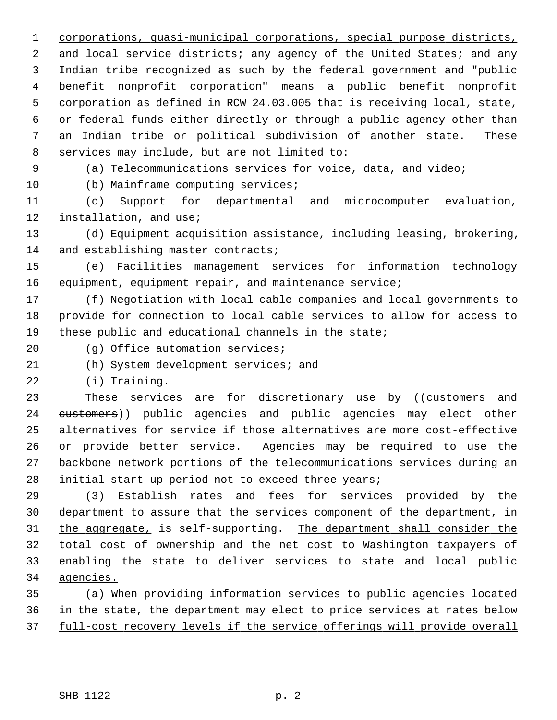1 corporations, quasi-municipal corporations, special purpose districts, 2 and local service districts; any agency of the United States; and any 3 Indian tribe recognized as such by the federal government and "public 4 benefit nonprofit corporation" means a public benefit nonprofit 5 corporation as defined in RCW 24.03.005 that is receiving local, state, 6 or federal funds either directly or through a public agency other than 7 an Indian tribe or political subdivision of another state. These 8 services may include, but are not limited to:

9 (a) Telecommunications services for voice, data, and video;

10 (b) Mainframe computing services;

11 (c) Support for departmental and microcomputer evaluation, 12 installation, and use;

13 (d) Equipment acquisition assistance, including leasing, brokering, 14 and establishing master contracts;

15 (e) Facilities management services for information technology 16 equipment, equipment repair, and maintenance service;

17 (f) Negotiation with local cable companies and local governments to 18 provide for connection to local cable services to allow for access to 19 these public and educational channels in the state;

20 (g) Office automation services;

21 (h) System development services; and

22 (i) Training.

23 These services are for discretionary use by ((customers and 24 customers)) public agencies and public agencies may elect other 25 alternatives for service if those alternatives are more cost-effective 26 or provide better service. Agencies may be required to use the 27 backbone network portions of the telecommunications services during an 28 initial start-up period not to exceed three years;

29 (3) Establish rates and fees for services provided by the 30 department to assure that the services component of the department, in the aggregate, is self-supporting. The department shall consider the total cost of ownership and the net cost to Washington taxpayers of enabling the state to deliver services to state and local public agencies.

35 (a) When providing information services to public agencies located 36 in the state, the department may elect to price services at rates below 37 full-cost recovery levels if the service offerings will provide overall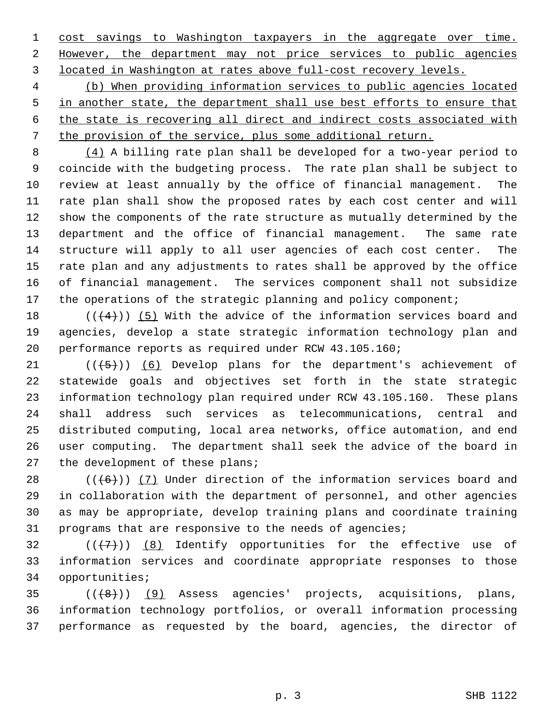1 cost savings to Washington taxpayers in the aggregate over time. 2 However, the department may not price services to public agencies 3 located in Washington at rates above full-cost recovery levels.

 (b) When providing information services to public agencies located in another state, the department shall use best efforts to ensure that the state is recovering all direct and indirect costs associated with the provision of the service, plus some additional return.

 8 (4) A billing rate plan shall be developed for a two-year period to 9 coincide with the budgeting process. The rate plan shall be subject to 10 review at least annually by the office of financial management. The 11 rate plan shall show the proposed rates by each cost center and will 12 show the components of the rate structure as mutually determined by the 13 department and the office of financial management. The same rate 14 structure will apply to all user agencies of each cost center. The 15 rate plan and any adjustments to rates shall be approved by the office 16 of financial management. The services component shall not subsidize 17 the operations of the strategic planning and policy component;

18  $((+4))$  (5) With the advice of the information services board and 19 agencies, develop a state strategic information technology plan and 20 performance reports as required under RCW 43.105.160;

21  $((+5))$  (6) Develop plans for the department's achievement of 22 statewide goals and objectives set forth in the state strategic 23 information technology plan required under RCW 43.105.160. These plans 24 shall address such services as telecommunications, central and 25 distributed computing, local area networks, office automation, and end 26 user computing. The department shall seek the advice of the board in 27 the development of these plans;

28  $((+6))$  (7) Under direction of the information services board and 29 in collaboration with the department of personnel, and other agencies 30 as may be appropriate, develop training plans and coordinate training 31 programs that are responsive to the needs of agencies;

32  $((+7)^{n})$  (8) Identify opportunities for the effective use of 33 information services and coordinate appropriate responses to those 34 opportunities;

 $35$  ( $(\overline{6})$ ) (9) Assess agencies' projects, acquisitions, plans, 36 information technology portfolios, or overall information processing 37 performance as requested by the board, agencies, the director of